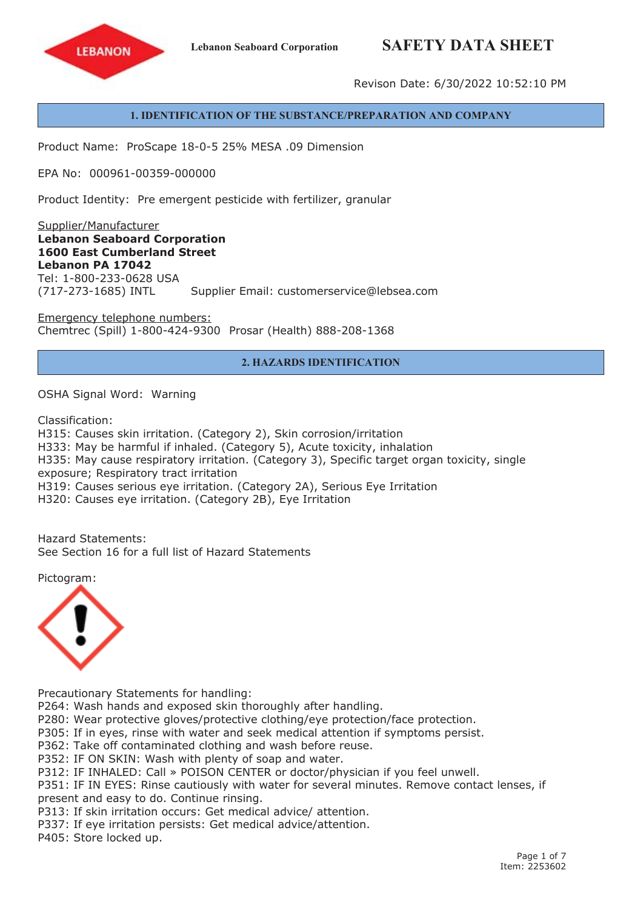# **Lebanon Seaboard Corporation SAFETY DATA SHEET**



Revison Date: 6/30/2022 10:52:10 PM

#### **1. IDENTIFICATION OF THE SUBSTANCE/PREPARATION AND COMPANY**

Product Name: ProScape 18-0-5 25% MESA .09 Dimension

EPA No: 000961-00359-000000

Product Identity: Pre emergent pesticide with fertilizer, granular

Supplier/Manufacturer **Lebanon Seaboard Corporation 1600 East Cumberland Street Lebanon PA 17042** Tel: 1-800-233-0628 USA (717-273-1685) INTL Supplier Email: customerservice@lebsea.com

Emergency telephone numbers: Chemtrec (Spill) 1-800-424-9300 Prosar (Health) 888-208-1368

### **2. HAZARDS IDENTIFICATION**

OSHA Signal Word: Warning

Classification:

H315: Causes skin irritation. (Category 2), Skin corrosion/irritation H333: May be harmful if inhaled. (Category 5), Acute toxicity, inhalation H335: May cause respiratory irritation. (Category 3), Specific target organ toxicity, single exposure; Respiratory tract irritation H319: Causes serious eye irritation. (Category 2A), Serious Eye Irritation H320: Causes eye irritation. (Category 2B), Eye Irritation

Hazard Statements: See Section 16 for a full list of Hazard Statements

Pictogram:



Precautionary Statements for handling:

P264: Wash hands and exposed skin thoroughly after handling.

P280: Wear protective gloves/protective clothing/eye protection/face protection.

P305: If in eyes, rinse with water and seek medical attention if symptoms persist.

P362: Take off contaminated clothing and wash before reuse.

P352: IF ON SKIN: Wash with plenty of soap and water.

P312: IF INHALED: Call » POISON CENTER or doctor/physician if you feel unwell.

P351: IF IN EYES: Rinse cautiously with water for several minutes. Remove contact lenses, if present and easy to do. Continue rinsing.

P313: If skin irritation occurs: Get medical advice/ attention.

P337: If eye irritation persists: Get medical advice/attention.

P405: Store locked up.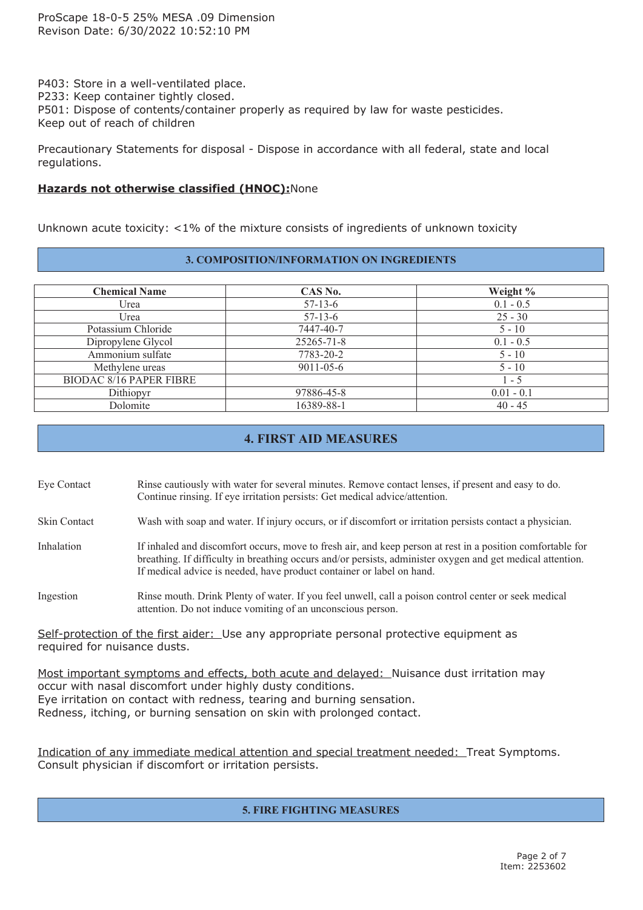P403: Store in <sup>a</sup> well-ventilated place. P233: Keep container tightly closed.

P501: Dispose of contents/container properly as required by law for waste pesticides.

Keep out of reach of children

Precautionary Statements for disposal - Dispose in accordance with all federal, state and local regulations.

# **Hazards not otherwise classified (HNOC):**None

Unknown acute toxicity: <1% of the mixture consists of ingredients of unknown toxicity

### **3. COMPOSITION/INFORMATION ON INGREDIENTS**

| CAS No.         | Weight %     |
|-----------------|--------------|
| $57 - 13 - 6$   | $0.1 - 0.5$  |
| $57 - 13 - 6$   | $25 - 30$    |
| 7447-40-7       | $5 - 10$     |
| 25265-71-8      | $0.1 - 0.5$  |
| 7783-20-2       | $5 - 10$     |
| $9011 - 05 - 6$ | $5 - 10$     |
|                 | $1 - 5$      |
| 97886-45-8      | $0.01 - 0.1$ |
| 16389-88-1      | $40 - 45$    |
|                 |              |

# **4. FIRST AID MEASURES**

Eye Contact Rinse cautiously with water for several minutes. Remove contact lenses, if presen<sup>t</sup> and easy to do. Continue rinsing. If eye irritation persists: Get medical advice/attention.

Skin Contact Wash with soap and water. If injury occurs, or if discomfort or irritation persists contact <sup>a</sup> physician.

Inhalation If inhaled and discomfort occurs, move to fresh air, and keep person at rest in a position comfortable for breathing. If difficulty in breathing occurs and/or persists, administer oxygen and ge<sup>t</sup> medical attention. If medical advice is needed, have product container or label on hand.

Ingestion Rinse mouth. Drink Plenty of water. If you feel unwell, call <sup>a</sup> poison control center or seek medical attention. Do not induce vomiting of an unconscious person.

Self-protection of the first aider: Use any appropriate personal protective equipment as required for nuisance dusts.

Most important symptoms and effects, both acute and delayed: Nuisance dust irritation may occur with nasal discomfort under highly dusty conditions. Eye irritation on contact with redness, tearing and burning sensation. Redness, itching, or burning sensation on skin with prolonged contact.

Indication of any immediate medical attention and special treatment needed: Treat Symptoms. Consult physician if discomfort or irritation persists.

# **5. FIRE FIGHTING MEASURES**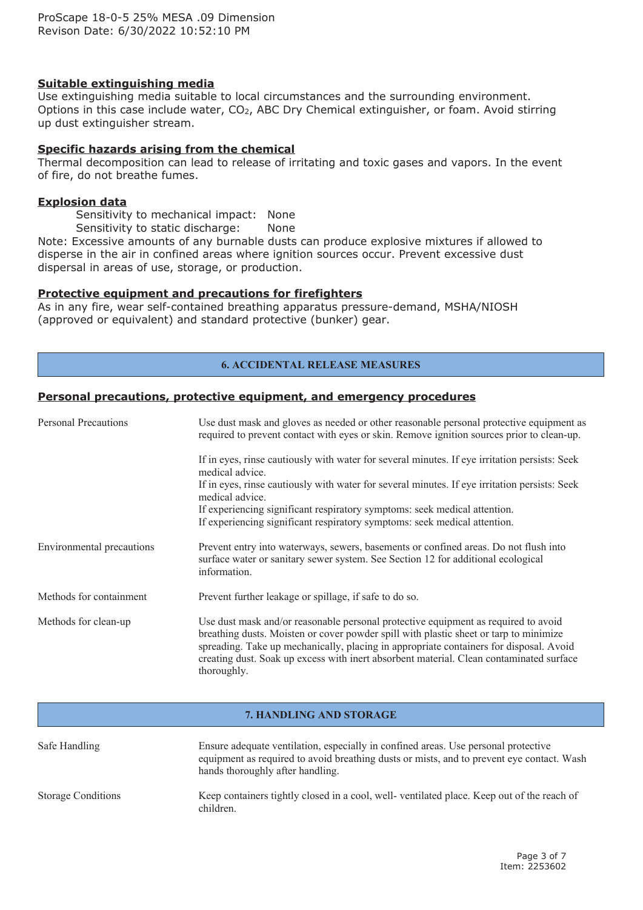## **Suitable extinguishing media**

Use extinguishing media suitable to local circumstances and the surrounding environment. Options in this case include water, CO<sub>2</sub>, ABC Dry Chemical extinguisher, or foam. Avoid stirring up dust extinguisher stream.

#### **Specific hazards arising from the chemical**

Thermal decomposition can lead to release of irritating and toxic gases and vapors. In the event of fire, do not breathe fumes.

#### **Explosion data**

Sensitivity to mechanical impact: None

Sensitivity to static discharge: None

Note: Excessive amounts of any burnable dusts can produce explosive mixtures if allowed to disperse in the air in confined areas where ignition sources occur. Prevent excessive dust dispersal in areas of use, storage, or production.

#### **Protective equipment and precautions for firefighters**

As in any fire, wear self-contained breathing apparatus pressure-demand, MSHA/NIOSH (approved or equivalent) and standard protective (bunker) gear.

#### **6. ACCIDENTAL RELEASE MEASURES**

#### **Personal precautions, protective equipment, and emergency procedures**

| <b>Personal Precautions</b> | Use dust mask and gloves as needed or other reasonable personal protective equipment as<br>required to prevent contact with eyes or skin. Remove ignition sources prior to clean-up.                                                                                                                                                                                            |  |  |
|-----------------------------|---------------------------------------------------------------------------------------------------------------------------------------------------------------------------------------------------------------------------------------------------------------------------------------------------------------------------------------------------------------------------------|--|--|
|                             | If in eyes, rinse cautiously with water for several minutes. If eye irritation persists: Seek<br>medical advice.                                                                                                                                                                                                                                                                |  |  |
|                             | If in eyes, rinse cautiously with water for several minutes. If eye irritation persists: Seek<br>medical advice.                                                                                                                                                                                                                                                                |  |  |
|                             | If experiencing significant respiratory symptoms: seek medical attention.<br>If experiencing significant respiratory symptoms: seek medical attention.                                                                                                                                                                                                                          |  |  |
| Environmental precautions   | Prevent entry into waterways, sewers, basements or confined areas. Do not flush into<br>surface water or sanitary sewer system. See Section 12 for additional ecological<br>information.                                                                                                                                                                                        |  |  |
| Methods for containment     | Prevent further leakage or spillage, if safe to do so.                                                                                                                                                                                                                                                                                                                          |  |  |
| Methods for clean-up        | Use dust mask and/or reasonable personal protective equipment as required to avoid<br>breathing dusts. Moisten or cover powder spill with plastic sheet or tarp to minimize<br>spreading. Take up mechanically, placing in appropriate containers for disposal. Avoid<br>creating dust. Soak up excess with inert absorbent material. Clean contaminated surface<br>thoroughly. |  |  |

#### **7. HANDLING AND STORAGE**

| Safe Handling             | Ensure adequate ventilation, especially in confined areas. Use personal protective<br>equipment as required to avoid breathing dusts or mists, and to prevent eye contact. Wash<br>hands thoroughly after handling. |
|---------------------------|---------------------------------------------------------------------------------------------------------------------------------------------------------------------------------------------------------------------|
| <b>Storage Conditions</b> | Keep containers tightly closed in a cool, well-ventilated place. Keep out of the reach of<br>children.                                                                                                              |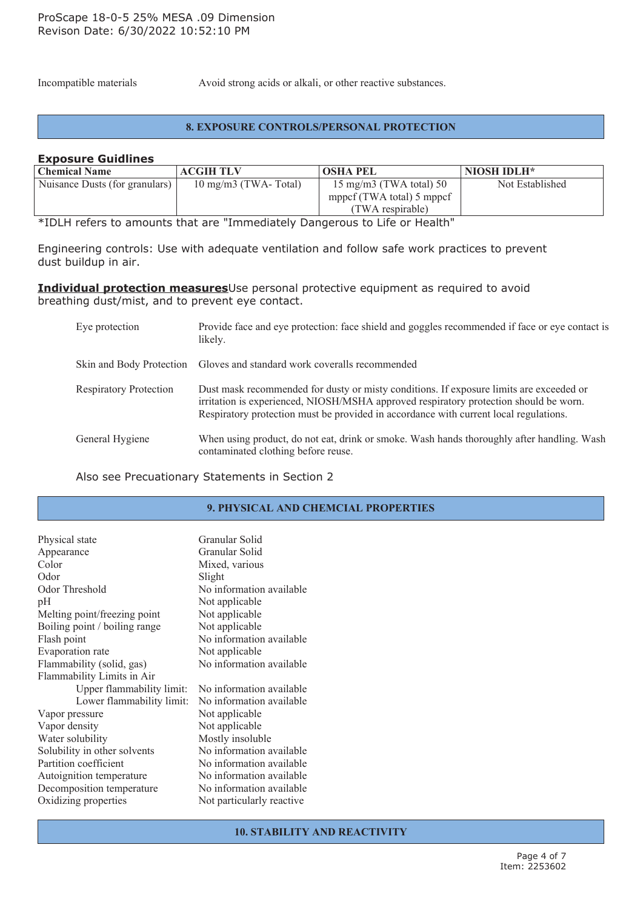Incompatible materials Avoid strong acids or alkali, or other reactive substances.

#### **8. EXPOSURE CONTROLS/PERSONAL PROTECTION**

#### **Exposure Guidlines**

| <b>Chemical Name</b>           | <b>ACGIH TLV</b>              | <b>OSHA PEL</b>           | NIOSH IDLH*     |
|--------------------------------|-------------------------------|---------------------------|-----------------|
| Nuisance Dusts (for granulars) | $10 \text{ mg/m}$ (TWA-Total) | 15 mg/m3 (TWA total) 50   | Not Established |
|                                |                               | mppcf (TWA total) 5 mppcf |                 |
|                                |                               | (TWA respirable)          |                 |

\*IDLH refers to amounts that are "Immediately Dangerous to Life or Health"

Engineering controls: Use with adequate ventilation and follow safe work practices to prevent dust buildup in air.

### **Individual protection measures**Use personal protective equipment as required to avoid breathing dust/mist, and to prevent eye contact.

| Eye protection                | Provide face and eye protection: face shield and goggles recommended if face or eye contact is<br>likely.                                                                                                                                                                 |
|-------------------------------|---------------------------------------------------------------------------------------------------------------------------------------------------------------------------------------------------------------------------------------------------------------------------|
|                               | Skin and Body Protection Gloves and standard work coveralls recommended                                                                                                                                                                                                   |
| <b>Respiratory Protection</b> | Dust mask recommended for dusty or misty conditions. If exposure limits are exceeded or<br>irritation is experienced, NIOSH/MSHA approved respiratory protection should be worn.<br>Respiratory protection must be provided in accordance with current local regulations. |
| General Hygiene               | When using product, do not eat, drink or smoke. Wash hands thoroughly after handling. Wash<br>contaminated clothing before reuse.                                                                                                                                         |

Also see Precuationary Statements in Section 2

# **9. PHYSICAL AND CHEMCIAL PROPERTIES**

| Physical state<br>Appearance     | Granular Solid<br>Granular Solid |
|----------------------------------|----------------------------------|
| Color                            | Mixed, various                   |
| Odor                             | Slight                           |
| Odor Threshold                   | No information available         |
| pH                               | Not applicable                   |
| Melting point/freezing point     | Not applicable                   |
| Boiling point / boiling range    | Not applicable                   |
| Flash point                      | No information available         |
| Evaporation rate                 | Not applicable                   |
| Flammability (solid, gas)        | No information available         |
| Flammability Limits in Air       |                                  |
| <b>Upper flammability limit:</b> | No information available         |
| Lower flammability limit:        | No information available         |
| Vapor pressure                   | Not applicable                   |
| Vapor density                    | Not applicable                   |
| Water solubility                 | Mostly insoluble                 |
| Solubility in other solvents     | No information available         |
| Partition coefficient            | No information available         |
| Autoignition temperature         | No information available         |
| Decomposition temperature        | No information available         |
| Oxidizing properties             | Not particularly reactive        |
|                                  |                                  |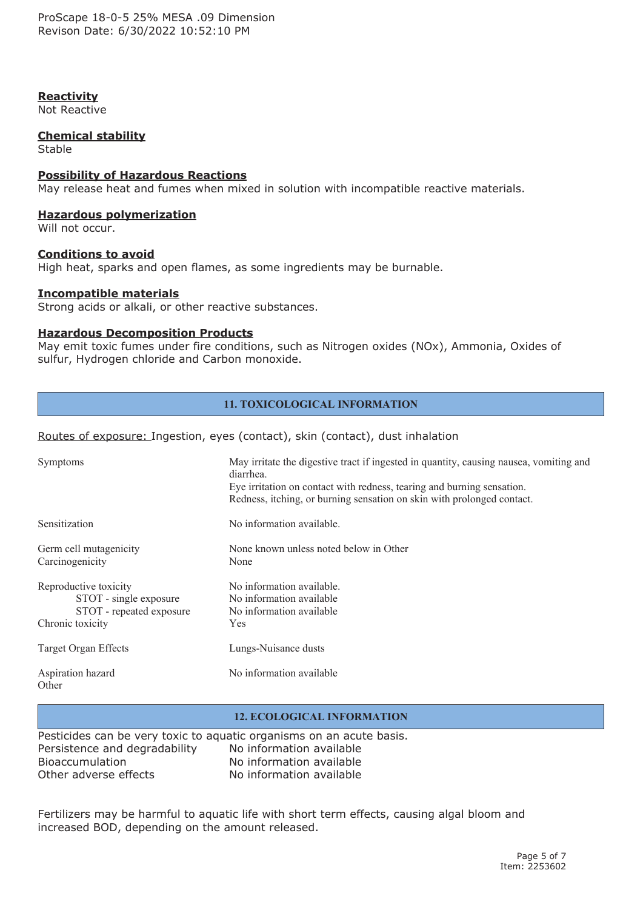ProScape 18-0-5 25% MESA .09 Dimension Revison Date: 6/30/2022 10:52:10 PM

## **Reactivity**

Not Reactive

#### **Chemical stability**

Stable

#### **Possibility of Hazardous Reactions**

May release heat and fumes when mixed in solution with incompatible reactive materials.

#### **Hazardous polymerization**

Will not occur.

### **Conditions to avoid**

High heat, sparks and open flames, as some ingredients may be burnable.

### **Incompatible materials**

Strong acids or alkali, or other reactive substances.

#### **Hazardous Decomposition Products**

May emit toxic fumes under fire conditions, such as Nitrogen oxides (NOx), Ammonia, Oxides of sulfur, Hydrogen chloride and Carbon monoxide.

# **11. TOXICOLOGICAL INFORMATION**

#### Routes of exposure: Ingestion, eyes (contact), skin (contact), dust inhalation

| Symptoms                                                                                        | May irritate the digestive tract if ingested in quantity, causing nausea, vomiting and<br>diarrhea.<br>Eye irritation on contact with redness, tearing and burning sensation.<br>Redness, itching, or burning sensation on skin with prolonged contact. |
|-------------------------------------------------------------------------------------------------|---------------------------------------------------------------------------------------------------------------------------------------------------------------------------------------------------------------------------------------------------------|
| Sensitization                                                                                   | No information available.                                                                                                                                                                                                                               |
| Germ cell mutagenicity<br>Carcinogenicity                                                       | None known unless noted below in Other<br>None                                                                                                                                                                                                          |
| Reproductive toxicity<br>STOT - single exposure<br>STOT - repeated exposure<br>Chronic toxicity | No information available.<br>No information available<br>No information available<br><b>Yes</b>                                                                                                                                                         |
| <b>Target Organ Effects</b>                                                                     | Lungs-Nuisance dusts                                                                                                                                                                                                                                    |
| Aspiration hazard<br>Other                                                                      | No information available                                                                                                                                                                                                                                |

#### **12. ECOLOGICAL INFORMATION**

|                               | Pesticides can be very toxic to aquatic organisms on an acute basis. |
|-------------------------------|----------------------------------------------------------------------|
| Persistence and degradability | No information available                                             |
| <b>Bioaccumulation</b>        | No information available                                             |
| Other adverse effects         | No information available                                             |

Fertilizers may be harmful to aquatic life with short term effects, causing algal bloom and increased BOD, depending on the amount released.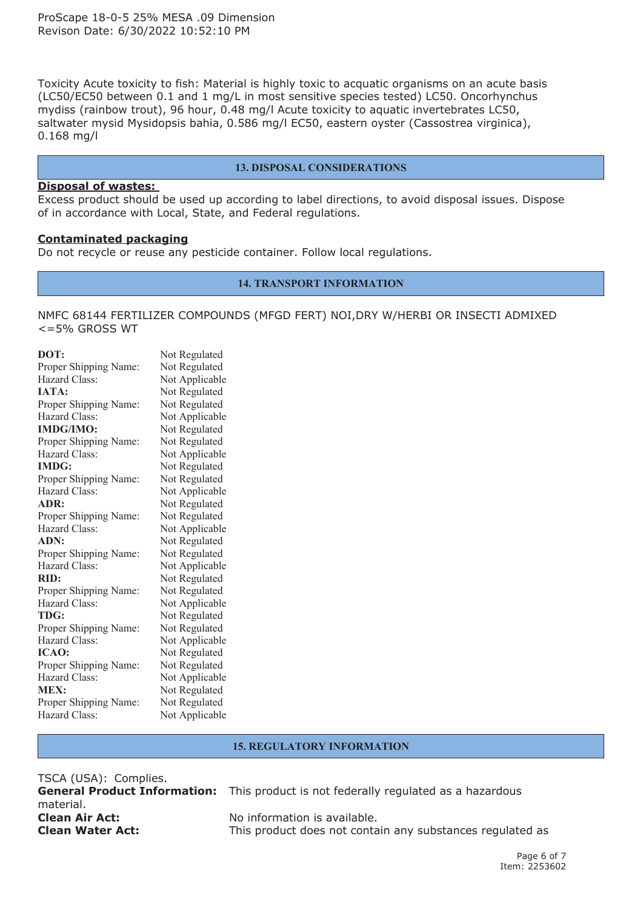Toxicity Acute toxicity to fish: Material is highly toxic to acquatic organisms on an acute basis (LC50/EC50 between 0.1 and 1 mg/L in most sensitive species tested) LC50. Oncorhynchus mydiss (rainbow trout), 96 hour, 0.48 mg/l Acute toxicity to aquatic invertebrates LC50, saltwater mysid Mysidopsis bahia, 0.586 mg/l EC50, eastern oyster (Cassostrea virginica), 0.168 mg/l

#### **13. DISPOSAL CONSIDERATIONS**

#### **Disposal of wastes:**

Excess product should be used up according to label directions, to avoid disposal issues. Dispose of in accordance with Local, State, and Federal regulations.

#### **Contaminated packaging**

Do not recycle or reuse any pesticide container. Follow local regulations.

#### **14. TRANSPORT INFORMATION**

NMFC 68144 FERTILIZER COMPOUNDS (MFGD FERT) NOI,DRY W/HERBI OR INSECTI ADMIXED  $\leq$ =5% GROSS WT

| DOT:                  | Not Regulated  |
|-----------------------|----------------|
| Proper Shipping Name: | Not Regulated  |
| Hazard Class:         | Not Applicable |
| <b>IATA:</b>          | Not Regulated  |
| Proper Shipping Name: | Not Regulated  |
| Hazard Class:         | Not Applicable |
| <b>IMDG/IMO:</b>      | Not Regulated  |
| Proper Shipping Name: | Not Regulated  |
| Hazard Class:         | Not Applicable |
| <b>IMDG:</b>          | Not Regulated  |
| Proper Shipping Name: | Not Regulated  |
| Hazard Class:         | Not Applicable |
| ADR:                  | Not Regulated  |
| Proper Shipping Name: | Not Regulated  |
| Hazard Class:         | Not Applicable |
| ADN:                  | Not Regulated  |
| Proper Shipping Name: | Not Regulated  |
| Hazard Class:         | Not Applicable |
| RID:                  | Not Regulated  |
| Proper Shipping Name: | Not Regulated  |
| Hazard Class:         | Not Applicable |
| TDG:                  | Not Regulated  |
| Proper Shipping Name: | Not Regulated  |
| Hazard Class:         | Not Applicable |
| ICAO:                 | Not Regulated  |
| Proper Shipping Name: | Not Regulated  |
| Hazard Class:         | Not Applicable |
| <b>MEX:</b>           | Not Regulated  |
| Proper Shipping Name: | Not Regulated  |
| Hazard Class:         | Not Applicable |

#### **15. REGULATORY INFORMATION**

TSCA (USA): Complies. **General Product Information:** This product is not federally regulated as <sup>a</sup> hazardous material. **Clean Air Act:** No information is available. **Clean Water Act:** This product does not contain any substances regulated as